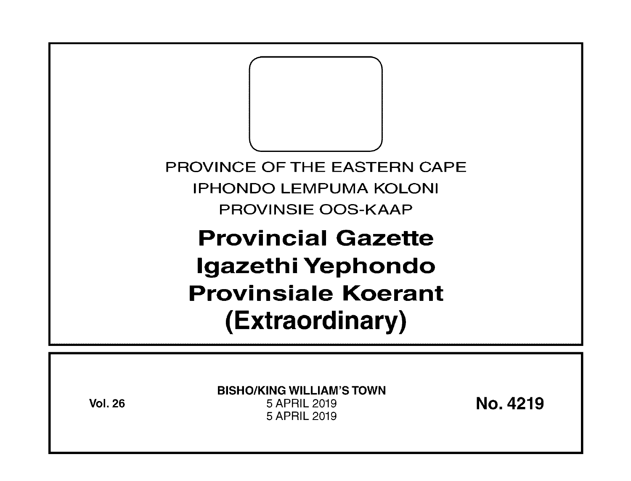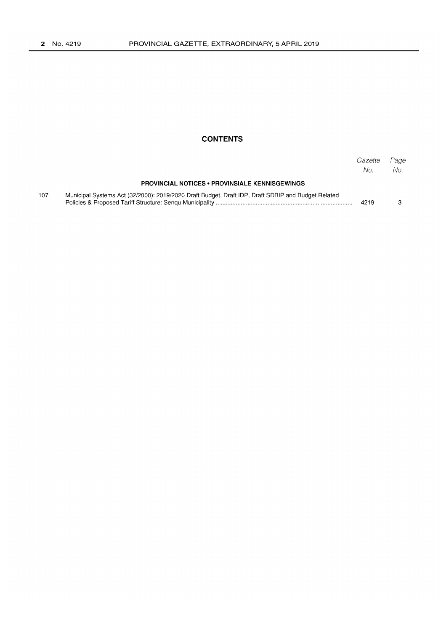## **CONTENTS**

|     |                                                                                                    | Gazette<br>No. | Page<br>No. |
|-----|----------------------------------------------------------------------------------------------------|----------------|-------------|
|     | <b>PROVINCIAL NOTICES • PROVINSIALE KENNISGEWINGS</b>                                              |                |             |
| 107 | Municipal Systems Act (32/2000): 2019/2020 Draft Budget, Draft IDP, Draft SDBIP and Budget Related | 4219           |             |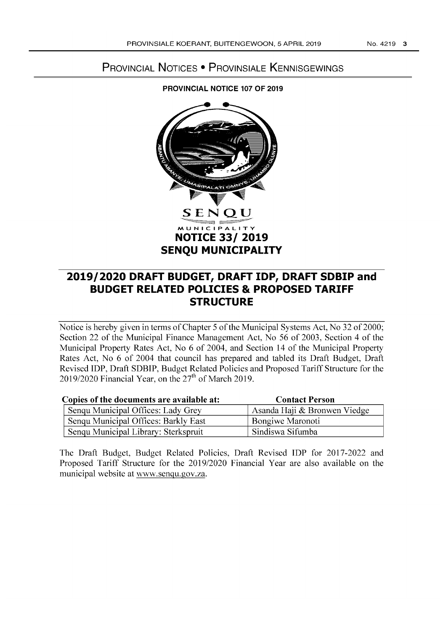# **PROVINCIAL NOTICES • PROVINSIALE KENNISGEWINGS**

# **PROVINCIAL NOTICE 107 OF 2019**



# **2019/2020 DRAFT BUDGET, DRAFT IDP, DRAFT SDBIP and BUDGET RELATED POLICIES & PROPOSED TARIFF STRUCTURE**

Notice is hereby given in terms of Chapter 5 of the Municipal Systems Act, No 32 of 2000; Section 22 of the Municipal Finance Management Act, No 56 of 2003, Section 4 of the Municipal Property Rates Act, No 6 of 2004, and Section 14 of the Municipal Property Rates Act, No 6 of 2004 that council has prepared and tabled its Draft Budget, Draft Revised IDP, Draft SDBIP, Budget Related Policies and Proposed Tariff Structure for the *201912020* Financial Year, on the *2ih* of March 2019.

| Copies of the documents are available at: | <b>Contact Person</b>        |
|-------------------------------------------|------------------------------|
| Senqu Municipal Offices: Lady Grey        | Asanda Haji & Bronwen Viedge |
| Senqu Municipal Offices: Barkly East      | Bongiwe Maronoti             |
| Senqu Municipal Library: Sterkspruit      | Sindiswa Sifumba             |

The Draft Budget, Budget Related Policies, Draft Revised **IDP** for 2017-2022 and Proposed Tariff Structure for the *2019/2020* Financial Year are also available on the municipal website at www.senqu.gov.za.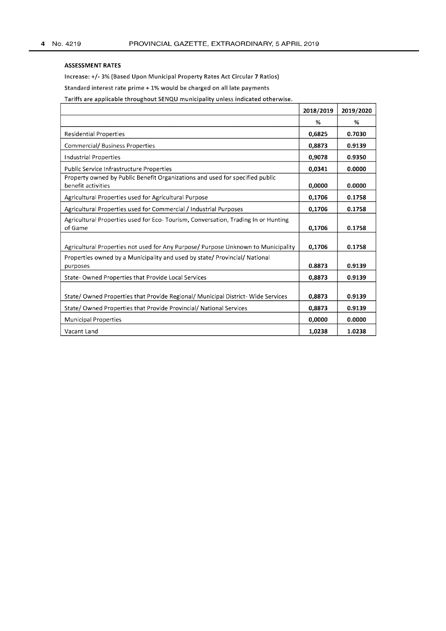#### ASSESSMENT RATES

Increase: +/- 3% (Based Upon Municipal Property Rates Act Circular 7 Ratios)

Standard interest rate prime + 1% would be charged on all late payments

Tariffs are applicable throughout SENQU municipality unless indicated otherwise.

|                                                                                                    | 2018/2019 | 2019/2020 |
|----------------------------------------------------------------------------------------------------|-----------|-----------|
|                                                                                                    | %         | %         |
| <b>Residential Properties</b>                                                                      | 0,6825    | 0.7030    |
| <b>Commercial/ Business Properties</b>                                                             | 0,8873    | 0.9139    |
| <b>Industrial Properties</b>                                                                       | 0,9078    | 0.9350    |
| Public Service Infrastructure Properties                                                           | 0,0341    | 0.0000    |
| Property owned by Public Benefit Organizations and used for specified public<br>benefit activities | 0,0000    | 0.0000    |
| Agricultural Properties used for Agricultural Purpose                                              | 0,1706    | 0.1758    |
| Agricultural Properties used for Commercial / Industrial Purposes                                  | 0,1706    | 0.1758    |
| Agricultural Properties used for Eco-Tourism, Conversation, Trading In or Hunting<br>of Game       | 0,1706    | 0.1758    |
| Agricultural Properties not used for Any Purpose/ Purpose Unknown to Municipality                  | 0.1706    | 0.1758    |
| Properties owned by a Municipality and used by state/ Provincial/ National<br>purposes             | 0.8873    | 0.9139    |
| State- Owned Properties that Provide Local Services                                                | 0,8873    | 0.9139    |
| State/ Owned Properties that Provide Regional/ Municipal District- Wide Services                   | 0,8873    | 0.9139    |
| State/ Owned Properties that Provide Provincial/ National Services                                 | 0.8873    | 0.9139    |
| <b>Municipal Properties</b>                                                                        | 0.0000    | 0.0000    |
| Vacant Land                                                                                        | 1,0238    | 1.0238    |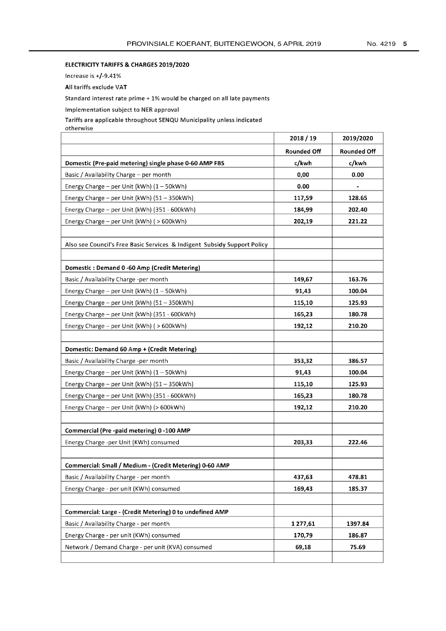### ELECTRICITY TARIFFS & CHARGES 2019/2020

Increase is +/-9.41%

All tariffs exclude VAT

Standard interest rate prime + 1% would be charged on all late payments

Implementation subject to NER approval

Tariffs are applicable throughout SENQU Municipality unless indicated

otherwise

|                                                                          | 2018 / 19          | 2019/2020          |
|--------------------------------------------------------------------------|--------------------|--------------------|
|                                                                          | <b>Rounded Off</b> | <b>Rounded Off</b> |
| Domestic (Pre-paid metering) single phase 0-60 AMP FBS                   | c/kwh              | c/kwh              |
| Basic / Availability Charge - per month                                  | 0,00               | 0.00               |
| Energy Charge - per Unit (kWh) (1 - 50kWh)                               | 0.00               |                    |
| Energy Charge - per Unit (kWh) (51 - 350kWh)                             | 117,59             | 128.65             |
| Energy Charge - per Unit (kWh) (351 - 600kWh)                            | 184,99             | 202.40             |
| Energy Charge - per Unit (kWh) ( > 600kWh)                               | 202,19             | 221.22             |
|                                                                          |                    |                    |
| Also see Council's Free Basic Services & Indigent Subsidy Support Policy |                    |                    |
|                                                                          |                    |                    |
| Domestic: Demand 0-60 Amp (Credit Metering)                              |                    |                    |
| Basic / Availability Charge -per month                                   | 149,67             | 163.76             |
| Energy Charge - per Unit (kWh) (1 - 50kWh)                               | 91,43              | 100.04             |
| Energy Charge - per Unit (kWh) (51 - 350kWh)                             | 115,10             | 125.93             |
| Energy Charge - per Unit (kWh) (351 - 600kWh)                            | 165,23             | 180.78             |
| Energy Charge - per Unit (kWh) ( > 600kWh)                               | 192,12             | 210.20             |
|                                                                          |                    |                    |
| Domestic: Demand 60 Amp + (Credit Metering)                              |                    |                    |
| Basic / Availability Charge -per month                                   | 353,32             | 386.57             |
| Energy Charge - per Unit (kWh) (1 - 50kWh)                               | 91,43              | 100.04             |
| Energy Charge - per Unit (kWh) (51 - 350kWh)                             | 115,10             | 125.93             |
| Energy Charge - per Unit (kWh) (351 - 600kWh)                            | 165,23             | 180.78             |
| Energy Charge - per Unit (kWh) (> 600kWh)                                | 192,12             | 210.20             |
|                                                                          |                    |                    |
| Commercial (Pre -paid metering) 0 -100 AMP                               |                    |                    |
| Energy Charge -per Unit (KWh) consumed                                   | 203,33             | 222.46             |
|                                                                          |                    |                    |
| Commercial: Small / Medium - (Credit Metering) 0-60 AMP                  |                    |                    |
| Basic / Availability Charge - per month                                  | 437,63             | 478.81             |
| Energy Charge - per unit (KWh) consumed                                  | 169,43             | 185.37             |
|                                                                          |                    |                    |
| Commercial: Large - (Credit Metering) 0 to undefined AMP                 |                    |                    |
| Basic / Availability Charge - per month                                  | 1 277,61           | 1397.84            |
| Energy Charge - per unit (KWh) consumed                                  | 170,79             | 186.87             |
| Network / Demand Charge - per unit (KVA) consumed                        | 69,18              | 75.69              |
|                                                                          |                    |                    |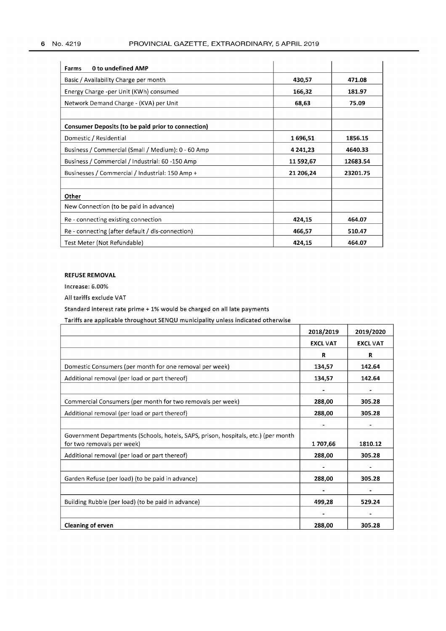| 0 to undefined AMP<br><b>Farms</b>                        |           |          |
|-----------------------------------------------------------|-----------|----------|
| Basic / Availability Charge per month                     | 430,57    | 471.08   |
| Energy Charge -per Unit (KWh) consumed                    | 166,32    | 181.97   |
| Network Demand Charge - (KVA) per Unit                    | 68,63     | 75.09    |
|                                                           |           |          |
| <b>Consumer Deposits (to be paid prior to connection)</b> |           |          |
| Domestic / Residential                                    | 1696,51   | 1856.15  |
| Business / Commercial (Small / Medium): 0 - 60 Amp        | 4 241,23  | 4640.33  |
| Business / Commercial / Industrial: 60 -150 Amp           | 11 592,67 | 12683.54 |
| Businesses / Commercial / Industrial: 150 Amp +           | 21 206,24 | 23201.75 |
|                                                           |           |          |
| Other                                                     |           |          |
| New Connection (to be paid in advance)                    |           |          |
| Re - connecting existing connection                       | 424,15    | 464.07   |
| Re - connecting (after default / dis-connection)          | 466,57    | 510.47   |
| Test Meter (Not Refundable)                               | 424,15    | 464.07   |

### REFUSE REMOVAL

Increase: 6.00%

All tariffs exclude VAT

Standard interest rate prime + 1% would be charged on all late payments

Tariffs are applicable throughout SENQU municipality unless indicated otherwise

|                                                                                    | 2018/2019       | 2019/2020       |
|------------------------------------------------------------------------------------|-----------------|-----------------|
|                                                                                    | <b>EXCL VAT</b> | <b>EXCL VAT</b> |
|                                                                                    | R               | R               |
| Domestic Consumers (per month for one removal per week)                            | 134,57          | 142.64          |
| Additional removal (per load or part thereof)                                      | 134,57          | 142.64          |
|                                                                                    |                 |                 |
| Commercial Consumers (per month for two removals per week)                         | 288,00          | 305.28          |
| Additional removal (per load or part thereof)                                      | 288,00          | 305.28          |
|                                                                                    |                 |                 |
| Government Departments (Schools, hotels, SAPS, prison, hospitals, etc.) (per month |                 |                 |
| for two removals per week)                                                         | 1707,66         | 1810.12         |
| Additional removal (per load or part thereof)                                      | 288,00          | 305.28          |
|                                                                                    |                 |                 |
| Garden Refuse (per load) (to be paid in advance)                                   | 288,00          | 305.28          |
|                                                                                    |                 |                 |
| Building Rubble (per load) (to be paid in advance)                                 | 499,28          | 529.24          |
|                                                                                    |                 |                 |
| <b>Cleaning of erven</b>                                                           | 288,00          | 305.28          |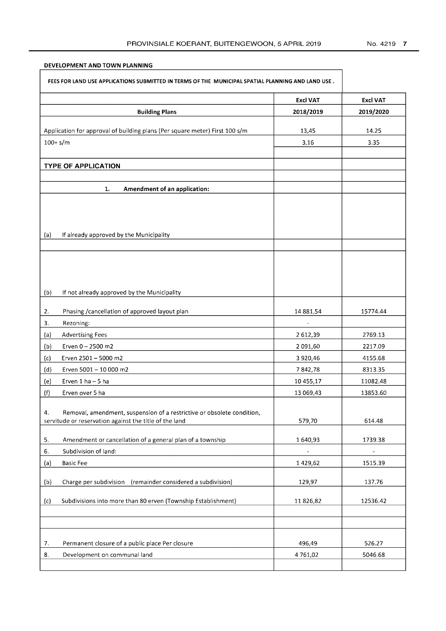## DEVELOPMENT AND TOWN PLANNING

 $\sqrt{ }$ 

| FEES FOR LAND USE APPLICATIONS SUBMITTED IN TERMS OF THE MUNICIPAL SPATIAL PLANNING AND LAND USE. |                                                                                                                                  |                 |                 |
|---------------------------------------------------------------------------------------------------|----------------------------------------------------------------------------------------------------------------------------------|-----------------|-----------------|
|                                                                                                   |                                                                                                                                  | <b>Excl VAT</b> | <b>Excl VAT</b> |
|                                                                                                   | <b>Building Plans</b>                                                                                                            | 2018/2019       | 2019/2020       |
|                                                                                                   | Application for approval of building plans (Per square meter) First 100 s/m                                                      | 13,45           | 14.25           |
| $100 + s/m$                                                                                       |                                                                                                                                  | 3,16            | 3.35            |
|                                                                                                   |                                                                                                                                  |                 |                 |
|                                                                                                   | <b>TYPE OF APPLICATION</b>                                                                                                       |                 |                 |
|                                                                                                   |                                                                                                                                  |                 |                 |
|                                                                                                   | Amendment of an application:<br>1.                                                                                               |                 |                 |
| (a)                                                                                               | If already approved by the Municipality                                                                                          |                 |                 |
|                                                                                                   |                                                                                                                                  |                 |                 |
|                                                                                                   |                                                                                                                                  |                 |                 |
| (b)                                                                                               | If not already approved by the Municipality                                                                                      |                 |                 |
| 2.                                                                                                | Phasing / cancellation of approved layout plan                                                                                   | 14 881,54       | 15774.44        |
| 3.                                                                                                | Rezoning:                                                                                                                        | $\blacksquare$  |                 |
| (a)                                                                                               | <b>Advertising Fees</b>                                                                                                          | 2612,39         | 2769.13         |
| (b)                                                                                               | Erven 0 - 2500 m2                                                                                                                | 2 091,60        | 2217.09         |
| (c)                                                                                               | Erven 2501 - 5000 m2                                                                                                             | 3 9 2 0 , 4 6   | 4155.68         |
| (a)                                                                                               | Erven 5001 - 10 000 m2                                                                                                           | 7842,78         | 8313.35         |
| (e)                                                                                               | Erven 1 ha - 5 ha                                                                                                                | 10 455,17       | 11082.48        |
| (f)                                                                                               | Erven over 5 ha                                                                                                                  | 13 069,43       | 13853.60        |
| 4.                                                                                                | Removal, amendment, suspension of a restrictive or obsolete condition,<br>servitude or reservation against the title of the land | 579,70          | 614.48          |
| 5.                                                                                                | Amendment or cancellation of a general plan of a township                                                                        | 1640,93         | 1739.38         |
| 6.                                                                                                | Subdivision of land:                                                                                                             |                 |                 |
| (a)                                                                                               | <b>Basic Fee</b>                                                                                                                 | 1429,62         | 1515.39         |
|                                                                                                   |                                                                                                                                  |                 |                 |
| (b)                                                                                               | Charge per subdivision (remainder considered a subdivision)                                                                      | 129,97          | 137.76          |
| (c)                                                                                               | Subdivisions into more than 80 erven (Township Establishment)                                                                    | 11826,82        | 12536.42        |
|                                                                                                   |                                                                                                                                  |                 |                 |
|                                                                                                   |                                                                                                                                  |                 |                 |
| 7.                                                                                                | Permanent closure of a public place Per closure                                                                                  | 496,49          | 526.27          |
| 8.                                                                                                | Development on communal land                                                                                                     | 4761,02         | 5046.68         |
|                                                                                                   |                                                                                                                                  |                 |                 |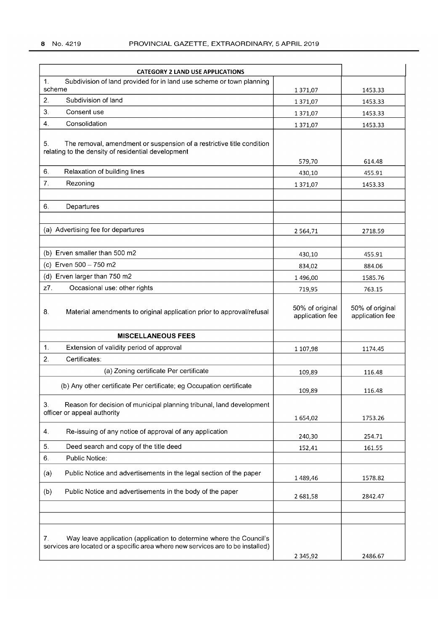| <b>CATEGORY 2 LAND USE APPLICATIONS</b>                                                                                                                      |                                    |                                    |
|--------------------------------------------------------------------------------------------------------------------------------------------------------------|------------------------------------|------------------------------------|
| 1 <sub>1</sub><br>Subdivision of land provided for in land use scheme or town planning                                                                       |                                    |                                    |
| scheme                                                                                                                                                       | 1 371,07                           | 1453.33                            |
| $\overline{2}$<br>Subdivision of land                                                                                                                        | 1 371,07                           | 1453.33                            |
| 3.<br>Consent use                                                                                                                                            | 1 371,07                           | 1453.33                            |
| 4.<br>Consolidation                                                                                                                                          | 1371,07                            | 1453.33                            |
| The removal, amendment or suspension of a restrictive title condition<br>5.<br>relating to the density of residential development                            | 579,70                             | 614.48                             |
| 6.<br>Relaxation of building lines                                                                                                                           | 430,10                             | 455.91                             |
| 7.<br>Rezoning                                                                                                                                               | 1 371,07                           | 1453.33                            |
|                                                                                                                                                              |                                    |                                    |
| 6.<br>Departures                                                                                                                                             |                                    |                                    |
|                                                                                                                                                              |                                    |                                    |
| (a) Advertising fee for departures                                                                                                                           |                                    |                                    |
|                                                                                                                                                              | 2564,71                            | 2718.59                            |
| (b) Erven smaller than 500 m2                                                                                                                                |                                    |                                    |
| (c) Erven 500 - 750 m2                                                                                                                                       | 430,10                             | 455.91                             |
|                                                                                                                                                              | 834,02                             | 884.06                             |
| (d) Erven larger than 750 m2                                                                                                                                 | 1 496,00                           | 1585.76                            |
| Occasional use: other rights<br>z7.                                                                                                                          | 719,95                             | 763.15                             |
| 8.<br>Material amendments to original application prior to approval/refusal                                                                                  | 50% of original<br>application fee | 50% of original<br>application fee |
| <b>MISCELLANEOUS FEES</b>                                                                                                                                    |                                    |                                    |
| Extension of validity period of approval<br>1.                                                                                                               | 1 107,98                           | 1174.45                            |
| 2.<br>Certificates:                                                                                                                                          |                                    |                                    |
| (a) Zoning certificate Per certificate                                                                                                                       | 109,89                             | 116.48                             |
| (b) Any other certificate Per certificate; eg Occupation certificate                                                                                         | 109,89                             | 116.48                             |
| 3.<br>Reason for decision of municipal planning tribunal, land development<br>officer or appeal authority                                                    |                                    |                                    |
|                                                                                                                                                              | 1654,02                            | 1753.26                            |
| Re-issuing of any notice of approval of any application<br>4.                                                                                                | 240,30                             | 254.71                             |
| 5.<br>Deed search and copy of the title deed                                                                                                                 | 152,41                             | 161.55                             |
| Public Notice:<br>6.                                                                                                                                         |                                    |                                    |
| Public Notice and advertisements in the legal section of the paper<br>(a)                                                                                    | 1489,46                            | 1578.82                            |
| Public Notice and advertisements in the body of the paper<br>(b)                                                                                             | 2681,58                            | 2842.47                            |
|                                                                                                                                                              |                                    |                                    |
|                                                                                                                                                              |                                    |                                    |
| Way leave application (application to determine where the Council's<br>7.<br>services are located or a specific area where new services are to be installed) |                                    |                                    |
|                                                                                                                                                              | 2 3 4 5 , 9 2                      | 2486.67                            |